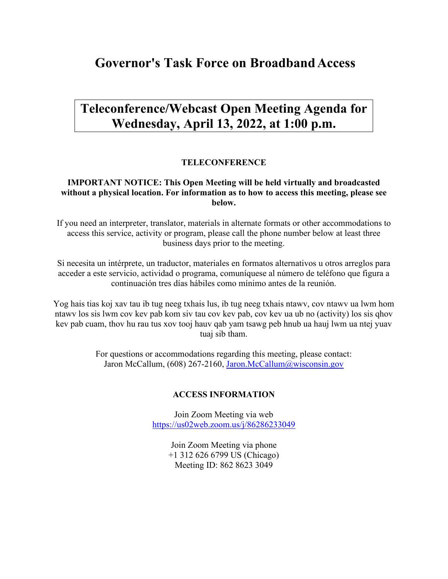# **Governor's Task Force on BroadbandAccess**

# **Teleconference/Webcast Open Meeting Agenda for Wednesday, April 13, 2022, at 1:00 p.m.**

### **TELECONFERENCE**

### **IMPORTANT NOTICE: This Open Meeting will be held virtually and broadcasted without a physical location. For information as to how to access this meeting, please see below.**

If you need an interpreter, translator, materials in alternate formats or other accommodations to access this service, activity or program, please call the phone number below at least three business days prior to the meeting.

Si necesita un intérprete, un traductor, materiales en formatos alternativos u otros arreglos para acceder a este servicio, actividad o programa, comuníquese al número de teléfono que figura a continuación tres días hábiles como mínimo antes de la reunión.

Yog hais tias koj xav tau ib tug neeg txhais lus, ib tug neeg txhais ntawv, cov ntawv ua lwm hom ntawv los sis lwm cov kev pab kom siv tau cov kev pab, cov kev ua ub no (activity) los sis qhov kev pab cuam, thov hu rau tus xov tooj hauv qab yam tsawg peb hnub ua hauj lwm ua ntej yuav tuaj sib tham.

> For questions or accommodations regarding this meeting, please contact: Jaron McCallum, (608) 267-2160, [Jaron.McCallum@wisconsin.gov](mailto:Jaron.McCallum@wisconsin.gov)

#### **ACCESS INFORMATION**

Join Zoom Meeting via web <https://us02web.zoom.us/j/86286233049>

> Join Zoom Meeting via phone +1 312 626 6799 US (Chicago) Meeting ID: 862 8623 3049